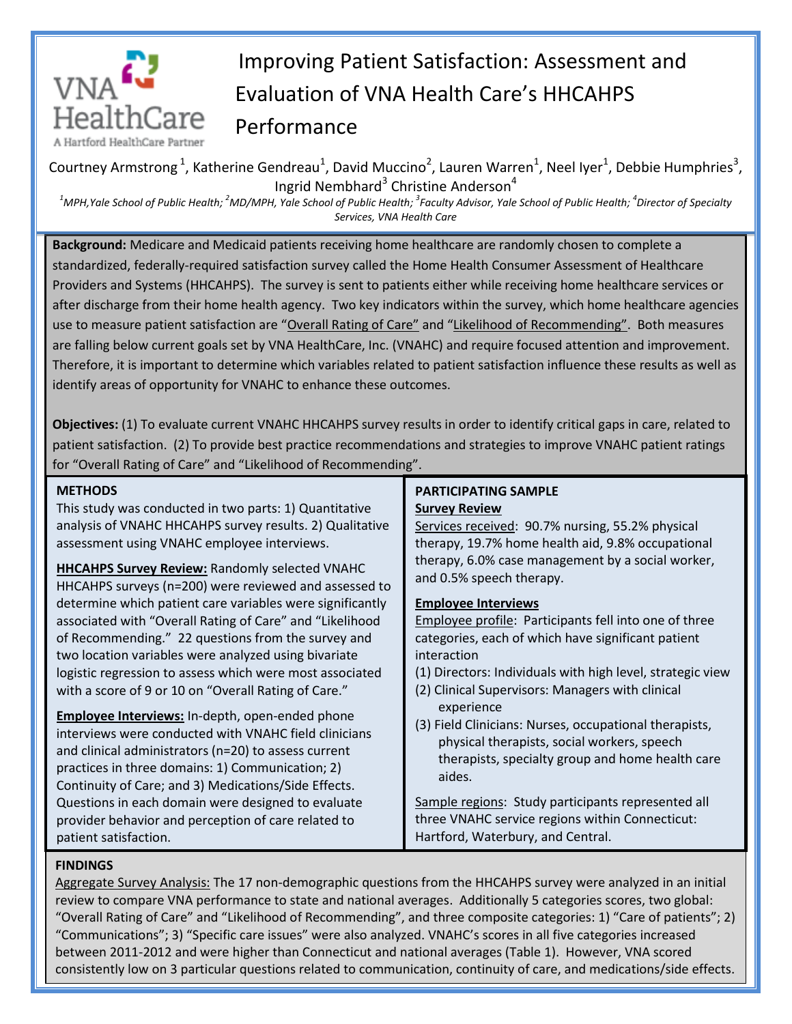

# Improving Patient Satisfaction: Assessment and Evaluation of VNA Health Care's HHCAHPS Performance

Courtney Armstrong<sup>1</sup>, Katherine Gendreau<sup>1</sup>, David Muccino<sup>2</sup>, Lauren Warren<sup>1</sup>, Neel Iyer<sup>1</sup>, Debbie Humphries<sup>3</sup>, Ingrid Nembhard<sup>3</sup> Christine Anderson<sup>4</sup>

*<sup>1</sup>MPH,Yale School of Public Health; <sup>2</sup>MD/MPH, Yale School of Public Health; 3 Faculty Advisor, Yale School of Public Health; 4 Director of Specialty Services, VNA Health Care*

**Background:** Medicare and Medicaid patients receiving home healthcare are randomly chosen to complete a standardized, federally-required satisfaction survey called the Home Health Consumer Assessment of Healthcare Providers and Systems (HHCAHPS). The survey is sent to patients either while receiving home healthcare services or after discharge from their home health agency. Two key indicators within the survey, which home healthcare agencies use to measure patient satisfaction are "Overall Rating of Care" and "Likelihood of Recommending". Both measures are falling below current goals set by VNA HealthCare, Inc. (VNAHC) and require focused attention and improvement. Therefore, it is important to determine which variables related to patient satisfaction influence these results as well as identify areas of opportunity for VNAHC to enhance these outcomes.

**Objectives:** (1) To evaluate current VNAHC HHCAHPS survey results in order to identify critical gaps in care, related to patient satisfaction. (2) To provide best practice recommendations and strategies to improve VNAHC patient ratings for "Overall Rating of Care" and "Likelihood of Recommending".

## **METHODS**

This study was conducted in two parts: 1) Quantitative analysis of VNAHC HHCAHPS survey results. 2) Qualitative assessment using VNAHC employee interviews.

**HHCAHPS Survey Review:** Randomly selected VNAHC HHCAHPS surveys (n=200) were reviewed and assessed to determine which patient care variables were significantly associated with "Overall Rating of Care" and "Likelihood of Recommending." 22 questions from the survey and two location variables were analyzed using bivariate logistic regression to assess which were most associated with a score of 9 or 10 on "Overall Rating of Care."

**Employee Interviews:** In-depth, open-ended phone interviews were conducted with VNAHC field clinicians and clinical administrators (n=20) to assess current practices in three domains: 1) Communication; 2) Continuity of Care; and 3) Medications/Side Effects. Questions in each domain were designed to evaluate provider behavior and perception of care related to patient satisfaction.

#### **PARTICIPATING SAMPLE Survey Review**

Services received: 90.7% nursing, 55.2% physical therapy, 19.7% home health aid, 9.8% occupational therapy, 6.0% case management by a social worker, and 0.5% speech therapy.

## **Employee Interviews**

Employee profile: Participants fell into one of three categories, each of which have significant patient interaction

- (1) Directors: Individuals with high level, strategic view
- (2) Clinical Supervisors: Managers with clinical experience
- (3) Field Clinicians: Nurses, occupational therapists, physical therapists, social workers, speech therapists, specialty group and home health care aides.

Sample regions: Study participants represented all three VNAHC service regions within Connecticut: Hartford, Waterbury, and Central.

#### **FINDINGS**

Aggregate Survey Analysis: The 17 non-demographic questions from the HHCAHPS survey were analyzed in an initial review to compare VNA performance to state and national averages. Additionally 5 categories scores, two global: "Overall Rating of Care" and "Likelihood of Recommending", and three composite categories: 1) "Care of patients"; 2) "Communications"; 3) "Specific care issues" were also analyzed. VNAHC's scores in all five categories increased between 2011-2012 and were higher than Connecticut and national averages (Table 1). However, VNA scored consistently low on 3 particular questions related to communication, continuity of care, and medications/side effects.